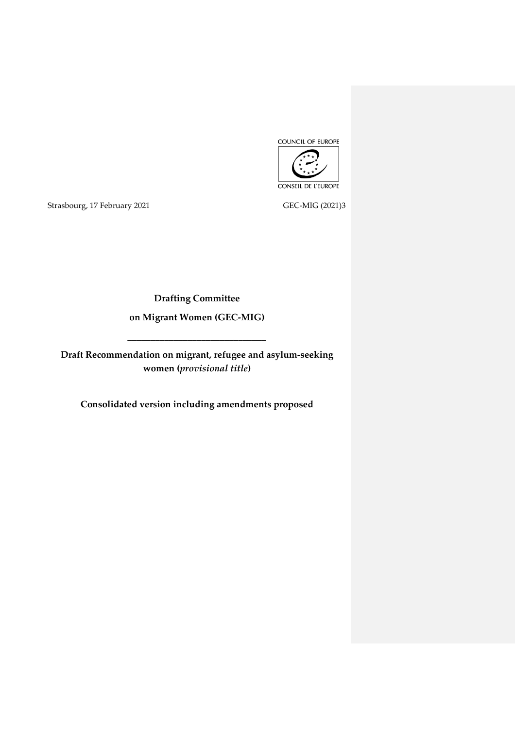

Strasbourg, 17 February 2021 GEC-MIG (2021)3

**Drafting Committee**

**on Migrant Women (GEC-MIG)**

**\_\_\_\_\_\_\_\_\_\_\_\_\_\_\_\_\_\_\_\_\_\_\_\_\_\_\_\_\_\_**

**Draft Recommendation on migrant, refugee and asylum-seeking women (***provisional title***)**

**Consolidated version including amendments proposed**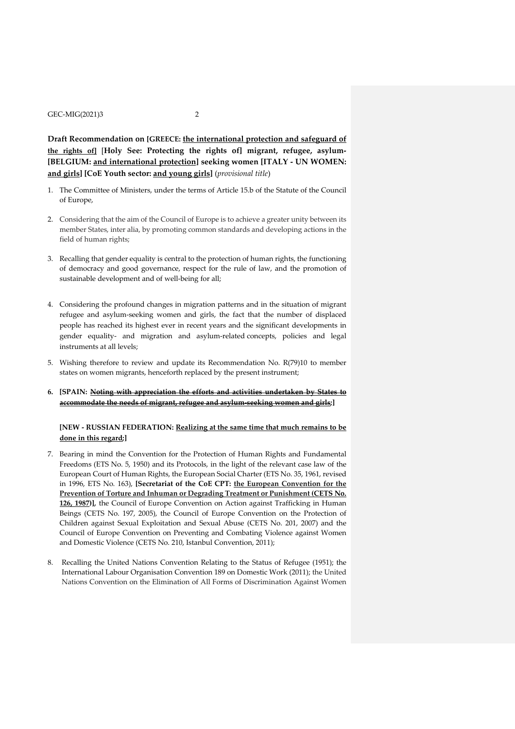**Draft Recommendation on [GREECE: the international protection and safeguard of the rights of]** [**Holy See: Protecting the rights of] migrant, refugee, asylum- [BELGIUM: and international protection] seeking women [ITALY - UN WOMEN: and girls] [CoE Youth sector: and young girls]** (*provisional title*)

- 1. The Committee of Ministers, under the terms of Article 15.b of the Statute of the Council of Europe,
- 2. Considering that the aim of the Council of Europe is to achieve a greater unity between its member States, inter alia, by promoting common standards and developing actions in the field of human rights;
- 3. Recalling that gender equality is central to the protection of human rights, the functioning of democracy and good governance, respect for the rule of law, and the promotion of sustainable development and of well-being for all;
- 4. Considering the profound changes in migration patterns and in the situation of migrant refugee and asylum-seeking women and girls, the fact that the number of displaced people has reached its highest ever in recent years and the significant developments in gender equality- and migration and asylum-related concepts, policies and legal instruments at all levels;
- 5. Wishing therefore to review and update its Recommendation No. R(79)10 to member states on women migrants, henceforth replaced by the present instrument;
- **6. [SPAIN: Noting with appreciation the efforts and activities undertaken by States to accommodate the needs of migrant, refugee and asylum-seeking women and girls;]**

# **[NEW - RUSSIAN FEDERATION: Realizing at the same time that much remains to be done in this regard;]**

- 7. Bearing in mind the Convention for the Protection of Human Rights and Fundamental Freedoms (ETS No. 5, 1950) and its Protocols, in the light of the relevant case law of the European Court of Human Rights, the European Social Charter (ETS No. 35, 1961, revised in 1996, ETS No. 163), **[Secretariat of the CoE CPT: the European Convention for the Prevention of Torture and Inhuman or Degrading Treatment or Punishment (CETS No. 126, 1987)],** the Council of Europe Convention on Action against Trafficking in Human Beings (CETS No. 197, 2005), the Council of Europe Convention on the Protection of Children against Sexual Exploitation and Sexual Abuse (CETS No. 201, 2007) and the Council of Europe Convention on Preventing and Combating Violence against Women and Domestic Violence (CETS No. 210, Istanbul Convention, 2011);
- 8. Recalling the United Nations Convention Relating to the Status of Refugee (1951); the International Labour Organisation Convention 189 on Domestic Work (2011); the United Nations Convention on the Elimination of All Forms of Discrimination Against Women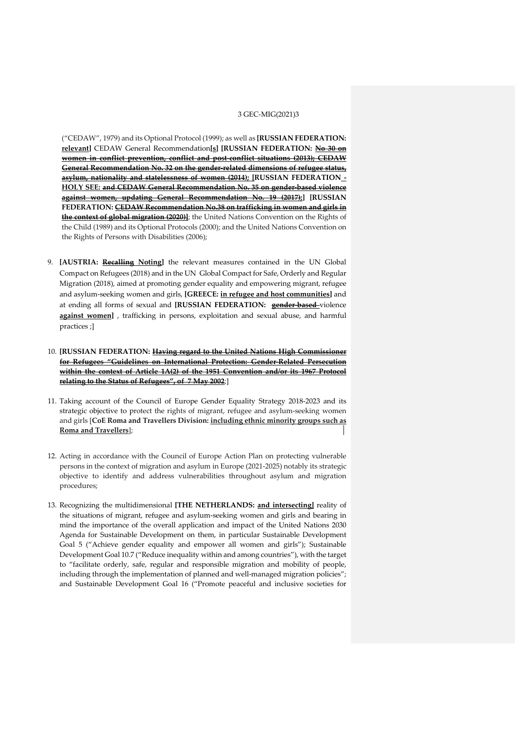("CEDAW", 1979) and its Optional Protocol (1999); as well as **[RUSSIAN FEDERATION: relevant]** CEDAW General Recommendation**[s] [RUSSIAN FEDERATION: No 30 on women in conflict prevention, conflict and post-conflict situations (2013); CEDAW General Recommendation No. 32 on the gender-related dimensions of refugee status, asylum, nationality and statelessness of women (2014); [RUSSIAN FEDERATION - HOLY SEE: and CEDAW General Recommendation No. 35 on gender-based violence against women, updating General Recommendation No. 19 (2017);] [RUSSIAN FEDERATION: CEDAW Recommendation No.38 on trafficking in women and girls in the context of global migration (2020)]**; the United Nations Convention on the Rights of the Child (1989) and its Optional Protocols (2000); and the United Nations Convention on the Rights of Persons with Disabilities (2006);

- 9. **[AUSTRIA: Recalling Noting]** the relevant measures contained in the UN Global Compact on Refugees (2018) and in the UN Global Compact for Safe, Orderly and Regular Migration (2018), aimed at promoting gender equality and empowering migrant, refugee and asylum-seeking women and girls, **[GREECE: in refugee and host communities]** and at ending all forms of sexual and **[RUSSIAN FEDERATION: gender-based** violence **against women]** , trafficking in persons, exploitation and sexual abuse, and harmful practices ;]
- 10. **[RUSSIAN FEDERATION: Having regard to the United Nations High Commissioner for Refugees "Guidelines on International Protection: Gender-Related Persecution within the context of Article 1A(2) of the 1951 Convention and/or its 1967 Protocol relating to the Status of Refugees", of 7 May 2002**;]
- 11. Taking account of the Council of Europe Gender Equality Strategy 2018-2023 and its strategic objective to protect the rights of migrant, refugee and asylum-seeking women and girls [**CoE Roma and Travellers Division: including ethnic minority groups such as Roma and Travellers**];
- 12. Acting in accordance with the Council of Europe Action Plan on protecting vulnerable persons in the context of migration and asylum in Europe (2021-2025) notably its strategic objective to identify and address vulnerabilities throughout asylum and migration procedures;
- 13. Recognizing the multidimensional **[THE NETHERLANDS: and intersecting]** reality of the situations of migrant, refugee and asylum-seeking women and girls and bearing in mind the importance of the overall application and impact of the United Nations 2030 Agenda for Sustainable Development on them, in particular Sustainable Development Goal 5 ("Achieve gender equality and empower all women and girls"); Sustainable Development Goal 10.7 ("Reduce inequality within and among countries"), with the target to "facilitate orderly, safe, regular and responsible migration and mobility of people, including through the implementation of planned and well-managed migration policies"; and Sustainable Development Goal 16 ("Promote peaceful and inclusive societies for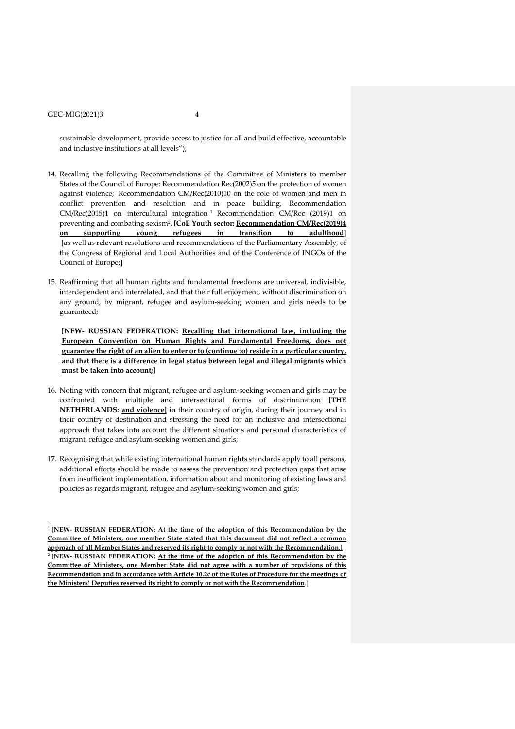-

sustainable development, provide access to justice for all and build effective, accountable and inclusive institutions at all levels");

- 14. Recalling the following Recommendations of the Committee of Ministers to member States of the Council of Europe: Recommendation Rec(2002)5 on the protection of women against violence; Recommendation CM/Rec(2010)10 on the role of women and men in conflict prevention and resolution and in peace building, Recommendation CM/Rec(2015)1 on intercultural integration<sup>1</sup> Recommendation CM/Rec (2019)1 on preventing and combating sexism<sup>2</sup> , **[CoE Youth sector: Recommendation CM/Rec(2019)4 on supporting young refugees in transition to adulthood**] [as well as relevant resolutions and recommendations of the Parliamentary Assembly, of the Congress of Regional and Local Authorities and of the Conference of INGOs of the Council of Europe;]
- 15. Reaffirming that all human rights and fundamental freedoms are universal, indivisible, interdependent and interrelated, and that their full enjoyment, without discrimination on any ground, by migrant, refugee and asylum-seeking women and girls needs to be guaranteed;

**[NEW- RUSSIAN FEDERATION: Recalling that international law, including the European Convention on Human Rights and Fundamental Freedoms, does not guarantee the right of an alien to enter or to (continue to) reside in a particular country, and that there is a difference in legal status between legal and illegal migrants which must be taken into account;]**

- 16. Noting with concern that migrant, refugee and asylum-seeking women and girls may be confronted with multiple and intersectional forms of discrimination **[THE NETHERLANDS: and violence]** in their country of origin, during their journey and in their country of destination and stressing the need for an inclusive and intersectional approach that takes into account the different situations and personal characteristics of migrant, refugee and asylum-seeking women and girls;
- 17. Recognising that while existing international human rights standards apply to all persons, additional efforts should be made to assess the prevention and protection gaps that arise from insufficient implementation, information about and monitoring of existing laws and policies as regards migrant, refugee and asylum-seeking women and girls;

<sup>1</sup> **[NEW- RUSSIAN FEDERATION: At the time of the adoption of this Recommendation by the Committee of Ministers, one member State stated that this document did not reflect a common approach of all Member States and reserved its right to comply or not with the Recommendation.]** 2 **[NEW- RUSSIAN FEDERATION: At the time of the adoption of this Recommendation by the Committee of Ministers, one Member State did not agree with a number of provisions of this Recommendation and in accordance with Article 10.2c of the Rules of Procedure for the meetings of the Ministers' Deputies reserved its right to comply or not with the Recommendation**.]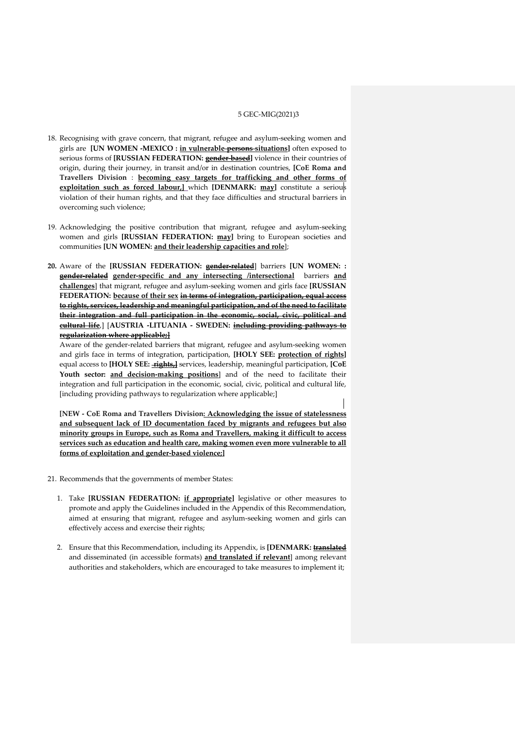- 18. Recognising with grave concern, that migrant, refugee and asylum-seeking women and girls are **[UN WOMEN -MEXICO : in vulnerable persons situations]** often exposed to serious forms of **[RUSSIAN FEDERATION: gender-based]** violence in their countries of origin, during their journey, in transit and/or in destination countries, **[CoE Roma and Travellers Division** : **becoming easy targets for trafficking and other forms of exploitation such as forced labour,]** which **[DENMARK: may]** constitute a serious violation of their human rights, and that they face difficulties and structural barriers in overcoming such violence;
- 19. Acknowledging the positive contribution that migrant, refugee and asylum-seeking women and girls **[RUSSIAN FEDERATION: may]** bring to European societies and communities **[UN WOMEN: and their leadership capacities and role**];
- **20.** Aware of the **[RUSSIAN FEDERATION: gender-related**] barriers **[UN WOMEN: : gender-related gender-specific and any intersecting /intersectional** barriers **and challenges**] that migrant, refugee and asylum-seeking women and girls face **[RUSSIAN FEDERATION: because of their sex in terms of integration, participation, equal access to rights, services, leadership and meaningful participation, and of the need to facilitate their integration and full participation in the economic, social, civic, political and cultural life**,] [**AUSTRIA -LITUANIA - SWEDEN: including providing pathways to regularization where applicable;]**

Aware of the gender-related barriers that migrant, refugee and asylum-seeking women and girls face in terms of integration, participation, **[HOLY SEE: protection of rights]** equal access to **[HOLY SEE: rights,]** services, leadership, meaningful participation, **[CoE Youth sector: and decision-making positions**] and of the need to facilitate their integration and full participation in the economic, social, civic, political and cultural life, [including providing pathways to regularization where applicable;]

**[NEW - CoE Roma and Travellers Division: Acknowledging the issue of statelessness and subsequent lack of ID documentation faced by migrants and refugees but also minority groups in Europe, such as Roma and Travellers, making it difficult to access services such as education and health care, making women even more vulnerable to all forms of exploitation and gender-based violence;]**

- 21. Recommends that the governments of member States:
	- 1. Take **[RUSSIAN FEDERATION: if appropriate]** legislative or other measures to promote and apply the Guidelines included in the Appendix of this Recommendation, aimed at ensuring that migrant, refugee and asylum-seeking women and girls can effectively access and exercise their rights;
	- 2. Ensure that this Recommendation, including its Appendix, is **[DENMARK: translated** and disseminated (in accessible formats) **and translated if relevant**] among relevant authorities and stakeholders, which are encouraged to take measures to implement it;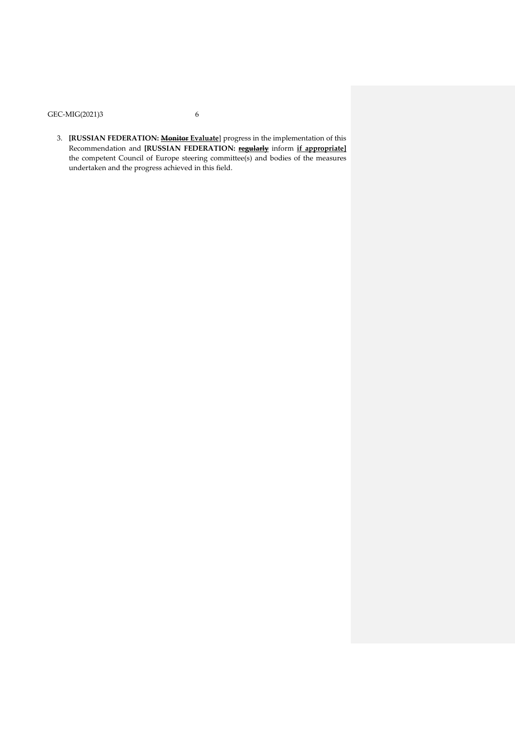3. **[RUSSIAN FEDERATION: Monitor Evaluate**] progress in the implementation of this Recommendation and **[RUSSIAN FEDERATION: regularly** inform **if appropriate]** the competent Council of Europe steering committee(s) and bodies of the measures undertaken and the progress achieved in this field.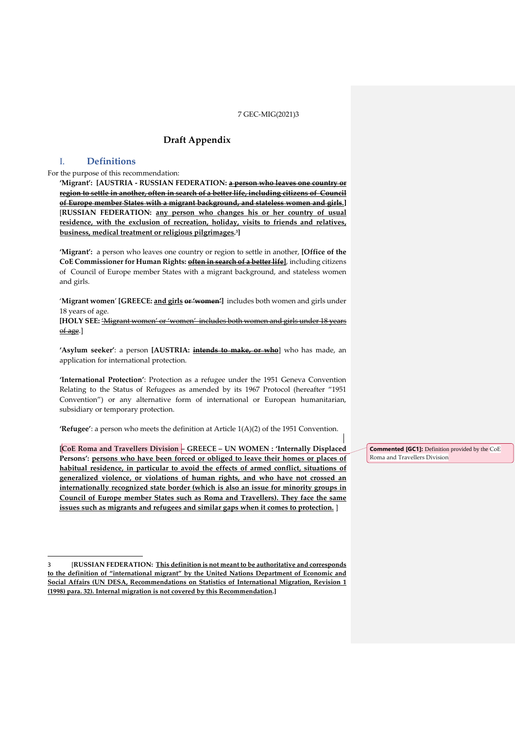# **Draft Appendix**

# I. **Definitions**

-

### For the purpose of this recommendation:

**'Migrant': [AUSTRIA - RUSSIAN FEDERATION: a person who leaves one country or region to settle in another, often in search of a better life, including citizens of Council of Europe member States with a migrant background, and stateless women and girls.]** [**RUSSIAN FEDERATION: any person who changes his or her country of usual residence, with the exclusion of recreation, holiday, visits to friends and relatives, business, medical treatment or religious pilgrimages. 3 ]**

**'Migrant':** a person who leaves one country or region to settle in another, **[Office of the CoE Commissioner for Human Rights: often in search of a better life]**, including citizens of Council of Europe member States with a migrant background, and stateless women and girls.

'**Migrant women**' **[GREECE: and girls or 'women']** includes both women and girls under 18 years of age.

**[HOLY SEE:** 'Migrant women' or 'women' includes both women and girls under 18 years of age.]

**'Asylum seeker'**: a person **[AUSTRIA: intends to make, or who**] who has made, an application for international protection.

**'International Protection'**: Protection as a refugee under the 1951 Geneva Convention Relating to the Status of Refugees as amended by its 1967 Protocol (hereafter "1951 Convention") or any alternative form of international or European humanitarian, subsidiary or temporary protection.

**'Refugee'**: a person who meets the definition at Article 1(A)(2) of the 1951 Convention.

**[CoE Roma and Travellers Division – GREECE – UN WOMEN : 'Internally Displaced Persons': persons who have been forced or obliged to leave their homes or places of habitual residence, in particular to avoid the effects of armed conflict, situations of generalized violence, or violations of human rights, and who have not crossed an internationally recognized state border (which is also an issue for minority groups in Council of Europe member States such as Roma and Travellers). They face the same issues such as migrants and refugees and similar gaps when it comes to protection.** ]

**Commented [GC1]:** Definition provided by the CoE Roma and Travellers Division

<sup>3</sup> [**RUSSIAN FEDERATION: This definition is not meant to be authoritative and corresponds to the definition of "international migrant" by the United Nations Department of Economic and Social Affairs (UN DESA, Recommendations on Statistics of International Migration, Revision 1 (1998) para. 32). Internal migration is not covered by this Recommendation.]**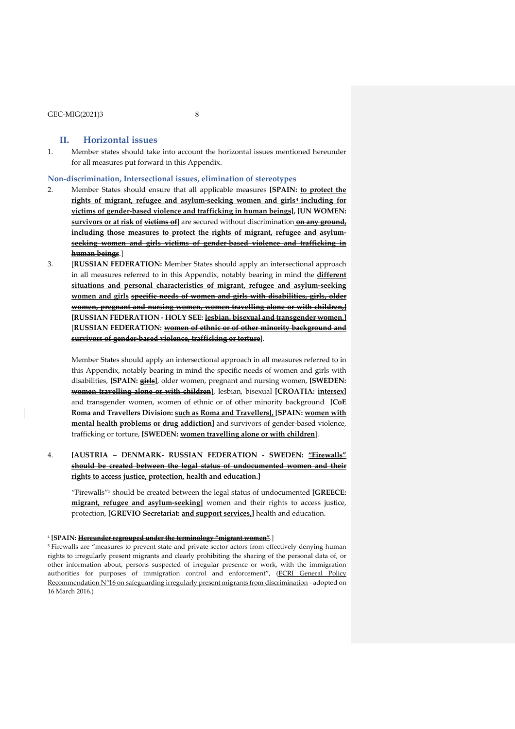-

# **II. Horizontal issues**

1. Member states should take into account the horizontal issues mentioned hereunder for all measures put forward in this Appendix.

#### **Non-discrimination, Intersectional issues, elimination of stereotypes**

- 2. Member States should ensure that all applicable measures **[SPAIN: to protect the rights of migrant, refugee and asylum-seeking women and girls <sup>4</sup> including for victims of gender-based violence and trafficking in human beings], [UN WOMEN: survivors or at risk of victims of**] are secured without discrimination **on any ground, including those measures to protect the rights of migrant, refugee and asylumseeking women and girls victims of gender-based violence and trafficking in human beings**.]
- 3. [**RUSSIAN FEDERATION:** Member States should apply an intersectional approach in all measures referred to in this Appendix, notably bearing in mind the **different situations and personal characteristics of migrant, refugee and asylum-seeking women and girls specific needs of women and girls with disabilities, girls, older women, pregnant and nursing women, women travelling alone or with children,] [RUSSIAN FEDERATION - HOLY SEE: lesbian, bisexual and transgender women,]** [**RUSSIAN FEDERATION: women of ethnic or of other minority background and survivors of gender-based violence, trafficking or torture**].

Member States should apply an intersectional approach in all measures referred to in this Appendix, notably bearing in mind the specific needs of women and girls with disabilities, **[SPAIN: girls]**, older women, pregnant and nursing women, **[SWEDEN: women travelling alone or with children**], lesbian, bisexual **[CROATIA: intersex]** and transgender women, women of ethnic or of other minority background **[CoE Roma and Travellers Division: such as Roma and Travellers], [SPAIN: women with mental health problems or drug addiction]** and survivors of gender-based violence, trafficking or torture, **[SWEDEN: women travelling alone or with children**].

4. **[AUSTRIA – DENMARK- RUSSIAN FEDERATION - SWEDEN: "Firewalls" should be created between the legal status of undocumented women and their rights to access justice, protection, health and education.]**

"Firewalls"<sup>5</sup> should be created between the legal status of undocumented **[GREECE: migrant, refugee and asylum-seeking]** women and their rights to access justice, protection, **[GREVIO Secretariat: and support services,]** health and education.

<sup>4</sup> **[SPAIN: Hereunder regrouped under the terminology "migrant women"**.]

<sup>5</sup> Firewalls are "measures to prevent state and private sector actors from effectively denying human rights to irregularly present migrants and clearly prohibiting the sharing of the personal data of, or other information about, persons suspected of irregular presence or work, with the immigration authorities for purposes of immigration control and enforcement", (ECRI [General](http://rm.coe.int/ecri-general-policy-recommendation-no-16-on-safeguarding-irregularly-p/16808b5b0b) Policy [Recommendation](http://rm.coe.int/ecri-general-policy-recommendation-no-16-on-safeguarding-irregularly-p/16808b5b0b) N°16 on safeguarding irregularly present migrants from discrimination - adopted on 16 March 2016.)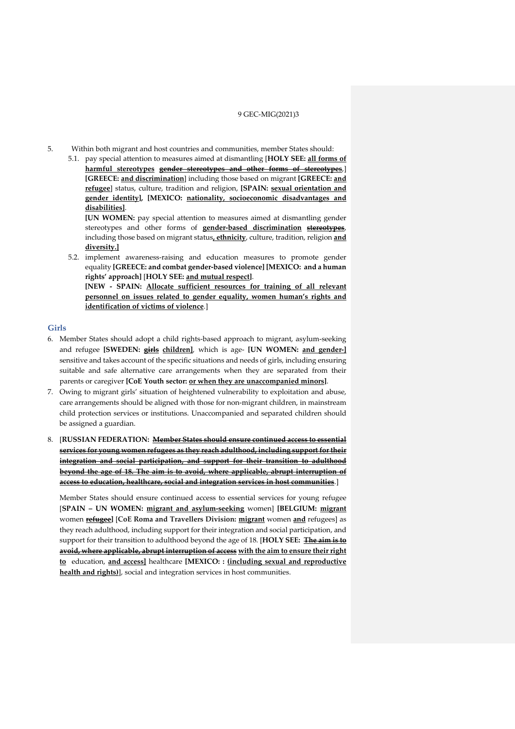- 5. Within both migrant and host countries and communities, member States should:
	- 5.1. pay special attention to measures aimed at dismantling [**HOLY SEE: all forms of harmful stereotypes gender stereotypes and other forms of stereotypes**,] **[GREECE: and discrimination**] including those based on migrant **[GREECE: and refugee**] status, culture, tradition and religion, **[SPAIN: sexual orientation and gender identity], [MEXICO: nationality, socioeconomic disadvantages and disabilities]**.

**[UN WOMEN:** pay special attention to measures aimed at dismantling gender stereotypes and other forms of **gender-based discrimination stereotypes**, including those based on migrant status**, ethnicity**, culture, tradition, religion **and diversity.]**

5.2. implement awareness-raising and education measures to promote gender equality **[GREECE: and combat gender-based violence] [MEXICO: and a human rights' approach]** [**HOLY SEE: and mutual respect]**.

**[NEW - SPAIN: Allocate sufficient resources for training of all relevant personnel on issues related to gender equality, women human's rights and identification of victims of violence**.]

### **Girls**

- 6. Member States should adopt a child rights-based approach to migrant, asylum-seeking and refugee **[SWEDEN: girls children]**, which is age- **[UN WOMEN: and gender-]** sensitive and takes account of the specific situations and needs of girls, including ensuring suitable and safe alternative care arrangements when they are separated from their parents or caregiver **[CoE Youth sector: or when they are unaccompanied minors]**.
- 7. Owing to migrant girls' situation of heightened vulnerability to exploitation and abuse, care arrangements should be aligned with those for non-migrant children, in mainstream child protection services or institutions. Unaccompanied and separated children should be assigned a guardian.
- 8. [**RUSSIAN FEDERATION: Member States should ensure continued access to essential services for young women refugees as they reach adulthood, including support for their integration and social participation, and support for their transition to adulthood beyond the age of 18. The aim is to avoid, where applicable, abrupt interruption of access to education, healthcare, social and integration services in host communities**.]

Member States should ensure continued access to essential services for young refugee [**SPAIN – UN WOMEN: migrant and asylum-seeking** women] **[BELGIUM: migrant** women **refugee]** [**CoE Roma and Travellers Division: migrant** women **and** refugees] as they reach adulthood, including support for their integration and social participation, and support for their transition to adulthood beyond the age of 18. [**HOLY SEE: The aim is to avoid, where applicable, abrupt interruption of access with the aim to ensure their right to** education, **and access]** healthcare **[MEXICO: : (including sexual and reproductive health and rights)**], social and integration services in host communities.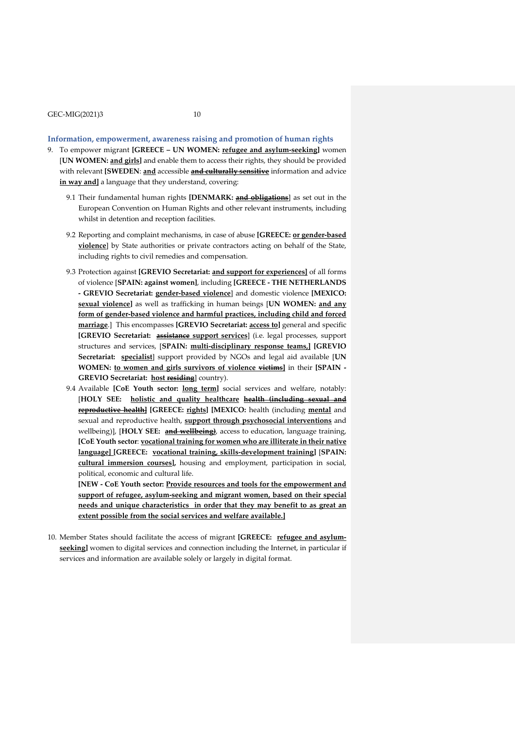# **Information, empowerment, awareness raising and promotion of human rights**

- 9. To empower migrant **[GREECE – UN WOMEN: refugee and asylum-seeking]** women [**UN WOMEN: and girls]** and enable them to access their rights, they should be provided with relevant **[SWEDEN**: **and** accessible **and culturally sensitive** information and advice **in way and]** a language that they understand, covering:
	- 9.1 Their fundamental human rights **[DENMARK: and obligations**] as set out in the European Convention on Human Rights and other relevant instruments, including whilst in detention and reception facilities.
	- 9.2 Reporting and complaint mechanisms, in case of abuse **[GREECE: or gender-based violence**] by State authorities or private contractors acting on behalf of the State, including rights to civil remedies and compensation.
	- 9.3 Protection against **[GREVIO Secretariat: and support for experiences]** of all forms of violence [**SPAIN: against women]**, including **[GREECE - THE NETHERLANDS - GREVIO Secretariat: gender-based violence**] and domestic violence **[MEXICO: sexual violence]** as well as trafficking in human beings [**UN WOMEN: and any form of gender-based violence and harmful practices, including child and forced marriage**.] This encompasses **[GREVIO Secretariat: access to]** general and specific **[GREVIO Secretariat: assistance support services**] (i.e. legal processes, support structures and services, [**SPAIN: multi-disciplinary response teams,] [GREVIO Secretariat: specialist**] support provided by NGOs and legal aid available [**UN WOMEN: to women and girls survivors of violence victims]** in their **[SPAIN - GREVIO Secretariat: host residing**] country).
	- 9.4 Available **[CoE Youth sector: long term]** social services and welfare, notably: [**HOLY SEE: holistic and quality healthcare health (including sexual and reproductive health] [GREECE: rights] [MEXICO:** health (including **mental** and sexual and reproductive health, **support through psychosocial interventions** and wellbeing)], [**HOLY SEE: and wellbeing)**, access to education, language training, **[CoE Youth sector**: **vocational training for women who are illiterate in their native language] [GREECE: vocational training, skills-development training]** [**SPAIN: cultural immersion courses],** housing and employment, participation in social, political, economic and cultural life.

**[NEW - CoE Youth sector: Provide resources and tools for the empowerment and support of refugee, asylum-seeking and migrant women, based on their special needs and unique characteristics in order that they may benefit to as great an extent possible from the social services and welfare available.]**

10. Member States should facilitate the access of migrant **[GREECE: refugee and asylum**seeking] women to digital services and connection including the Internet, in particular if services and information are available solely or largely in digital format.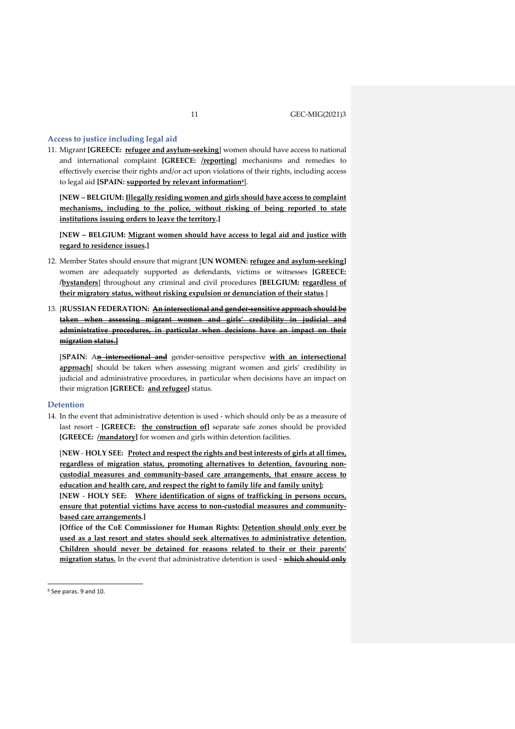#### **Access to justice including legal aid**

11. Migrant **[GREECE: refugee and asylum-seeking**] women should have access to national and international complaint **[GREECE: /reporting**] mechanisms and remedies to effectively exercise their rights and/or act upon violations of their rights, including access to legal aid **[SPAIN: supported by relevant information<sup>6</sup>** ].

**[NEW – BELGIUM: Illegally residing women and girls should have access to complaint mechanisms, including to the police, without risking of being reported to state institutions issuing orders to leave the territory.]** 

**[NEW – BELGIUM: Migrant women should have access to legal aid and justice with regard to residence issues.]**

- 12. Member States should ensure that migrant [**UN WOMEN: refugee and asylum-seeking]** women are adequately supported as defendants, victims or witnesses **[GREECE: /bystanders**] throughout any criminal and civil procedures **[BELGIUM: regardless of their migratory status, without risking expulsion or denunciation of their status**.]
- 13. [**RUSSIAN FEDERATION: An intersectional and gender-sensitive approach should be taken when assessing migrant women and girls' credibility in judicial and administrative procedures, in particular when decisions have an impact on their migration status.]**

[**SPAIN:** A**n intersectional and** gender-sensitive perspective **with an intersectional approach**] should be taken when assessing migrant women and girls' credibility in judicial and administrative procedures, in particular when decisions have an impact on their migration **[GREECE: and refugee]** status.

#### **Detention**

14. In the event that administrative detention is used - which should only be as a measure of last resort - **[GREECE: the construction of]** separate safe zones should be provided [GREECE: /mandatory] for women and girls within detention facilities.

[**NEW** - **HOLY SEE: Protect and respect the rights and best interests of girls at all times, regardless of migration status, promoting alternatives to detention, favouring noncustodial measures and community-based care arrangements, that ensure access to education and health care, and respect the right to family life and family unity];**

**[NEW** - **HOLY SEE: Where identification of signs of trafficking in persons occurs, ensure that potential victims have access to non-custodial measures and communitybased care arrangements.]**

**[Office of the CoE Commissioner for Human Rights: Detention should only ever be used as a last resort and states should seek alternatives to administrative detention. Children should never be detained for reasons related to their or their parents' migration status.** In the event that administrative detention is used - **which should only**

-

<sup>6</sup> See paras. 9 and 10.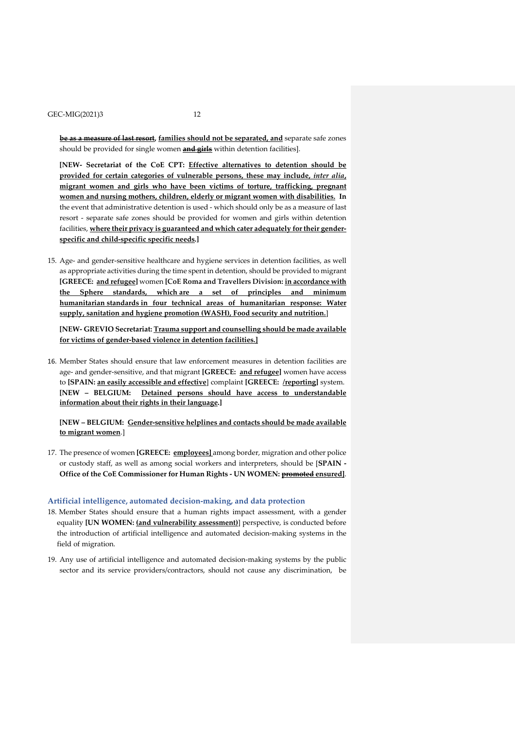**be as a measure of last resort, families should not be separated, and** separate safe zones should be provided for single women **and girls** within detention facilities].

**[NEW- Secretariat of the CoE CPT: Effective alternatives to detention should be provided for certain categories of vulnerable persons, these may include,** *inter alia***, migrant women and girls who have been victims of torture, trafficking, pregnant women and nursing mothers, children, elderly or migrant women with disabilities. In** the event that administrative detention is used - which should only be as a measure of last resort - separate safe zones should be provided for women and girls within detention facilities, **where their privacy is guaranteed and which cater adequately fortheir genderspecific and child-specific specific needs.]**

15. Age- and gender-sensitive healthcare and hygiene services in detention facilities, as well as appropriate activities during the time spent in detention, should be provided to migrant **[GREECE: and refugee]** women **[CoE Roma and Travellers Division: in accordance with the Sphere standards, which are a set of principles and minimum humanitarian standards in four technical areas of humanitarian response: Water supply, sanitation and hygiene promotion (WASH), Food security and nutrition.**]

**[NEW- GREVIO Secretariat: Trauma support and counselling should be made available for victims of gender-based violence in detention facilities.]**

16. Member States should ensure that law enforcement measures in detention facilities are age- and gender-sensitive, and that migrant **[GREECE: and refugee]** women have access to **[SPAIN: an easily accessible and effective**] complaint **[GREECE: /reporting]** system. **[NEW – BELGIUM: Detained persons should have access to understandable information about their rights in their language.]**

**[NEW – BELGIUM: Gender-sensitive helplines and contacts should be made available to migrant women**.]

17. The presence of women **[GREECE: employees]** among border, migration and other police or custody staff, as well as among social workers and interpreters, should be [**SPAIN - Office of the CoE Commissioner for Human Rights - UN WOMEN: promoted ensured]**.

#### **Artificial intelligence, automated decision-making, and data protection**

- 18. Member States should ensure that a human rights impact assessment, with a gender equality **[UN WOMEN: (and vulnerability assessment)**] perspective, is conducted before the introduction of artificial intelligence and automated decision-making systems in the field of migration.
- 19. Any use of artificial intelligence and automated decision-making systems by the public sector and its service providers/contractors, should not cause any discrimination, be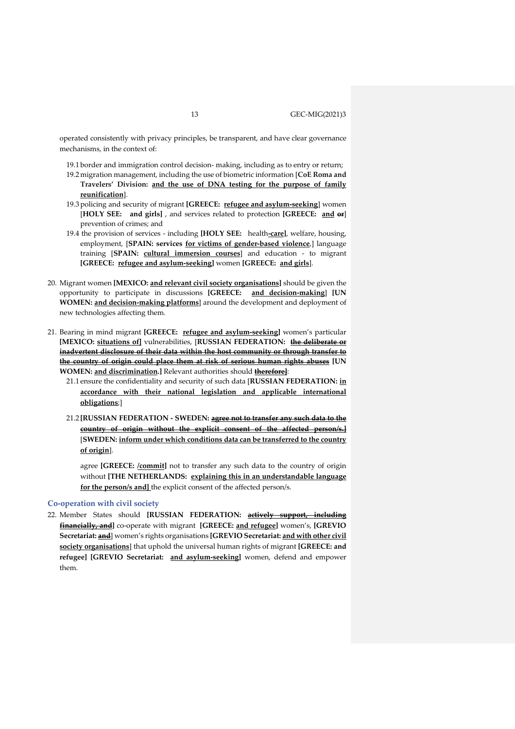operated consistently with privacy principles, be transparent, and have clear governance mechanisms, in the context of:

- 19.1 border and immigration control decision- making, including as to entry or return; 19.2 migration management, including the use of biometric information [**CoE Roma and Travelers' Division: and the use of DNA testing for the purpose of family reunification**].
- 19.3 policing and security of migrant **[GREECE: refugee and asylum-seeking**] women [**HOLY SEE: and girls]** , and services related to protection **[GREECE: and or**] prevention of crimes; and
- 19.4 the provision of services including **[HOLY SEE:** health**-care]**, welfare, housing, employment, [**SPAIN: services for victims of gender-based violence**,] language training [**SPAIN: cultural immersion courses**] and education - to migrant **[GREECE: refugee and asylum-seeking]** women **[GREECE: and girls**].
- 20. Migrant women **[MEXICO: and relevant civil society organisations]** should be given the opportunity to participate in discussions **[GREECE: and decision-making**] **[UN WOMEN: and decision-making platforms**] around the development and deployment of new technologies affecting them.
- 21. Bearing in mind migrant **[GREECE: refugee and asylum-seeking]** women's particular **[MEXICO: situations of]** vulnerabilities, [**RUSSIAN FEDERATION: the deliberate or inadvertent disclosure of their data within the host community or through transfer to the country of origin could place them at risk of serious human rights abuses [UN WOMEN: and discrimination.]** Relevant authorities should **therefore]**:
	- 21.1 ensure the confidentiality and security of such data [**RUSSIAN FEDERATION: in accordance with their national legislation and applicable international obligations**;]
	- 21.2 **[RUSSIAN FEDERATION - SWEDEN: agree not to transfer any such data to the country of origin without the explicit consent of the affected person/s.]** [**SWEDEN: inform under which conditions data can be transferred to the country of origin**].

agree **[GREECE: /commit]** not to transfer any such data to the country of origin without **[THE NETHERLANDS: explaining this in an understandable language for the person/s and]** the explicit consent of the affected person/s.

#### **Co-operation with civil society**

22. Member States should **[RUSSIAN FEDERATION: actively support, including financially, and]** co-operate with migrant **[GREECE: and refugee]** women's, **[GREVIO Secretariat: and**] women's rights organisations **[GREVIO Secretariat: and with other civil society organisations**] that uphold the universal human rights of migrant **[GREECE: and refugee] [GREVIO Secretariat: and asylum-seeking]** women, defend and empower them.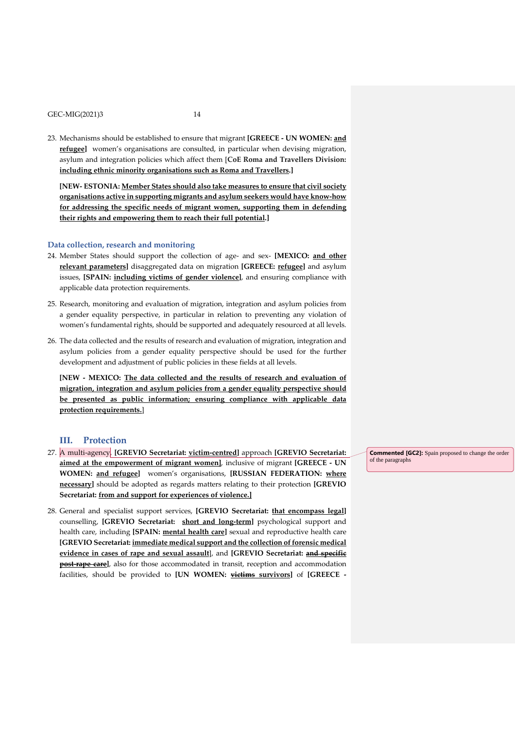23. Mechanisms should be established to ensure that migrant **[GREECE - UN WOMEN: and refugee]** women's organisations are consulted, in particular when devising migration, asylum and integration policies which affect them [**CoE Roma and Travellers Division: including ethnic minority organisations such as Roma and Travellers.]**

**[NEW- ESTONIA: Member States should also take measures to ensure that civil society organisations active in supporting migrants and asylum seekers would have know-how for addressing the specific needs of migrant women, supporting them in defending their rights and empowering them to reach their full potential.]**

#### **Data collection, research and monitoring**

- 24. Member States should support the collection of age- and sex- **[MEXICO: and other relevant parameters]** disaggregated data on migration **[GREECE: refugee]** and asylum issues, **[SPAIN: including victims of gender violence]**, and ensuring compliance with applicable data protection requirements.
- 25. Research, monitoring and evaluation of migration, integration and asylum policies from a gender equality perspective, in particular in relation to preventing any violation of women's fundamental rights, should be supported and adequately resourced at all levels.
- 26. The data collected and the results of research and evaluation of migration, integration and asylum policies from a gender equality perspective should be used for the further development and adjustment of public policies in these fields at all levels.

**[NEW - MEXICO: The data collected and the results of research and evaluation of migration, integration and asylum policies from a gender equality perspective should be presented as public information; ensuring compliance with applicable data protection requirements.**]

# **III. Protection**

- 27. A multi-agency, **[GREVIO Secretariat: victim-centred]** approach **[GREVIO Secretariat: aimed at the empowerment of migrant women]**, inclusive of migrant **[GREECE - UN WOMEN: and refugee]** women's organisations, **[RUSSIAN FEDERATION: where necessary]** should be adopted as regards matters relating to their protection **[GREVIO Secretariat: from and support for experiences of violence.]**
- 28. General and specialist support services, **[GREVIO Secretariat: that encompass legal]** counselling, **[GREVIO Secretariat: short and long-term]** psychological support and health care, including **[SPAIN: mental health care]** sexual and reproductive health care **[GREVIO Secretariat: immediate medical support and the collection offorensic medical evidence in cases of rape and sexual assault**], and **[GREVIO Secretariat: and specific post-rape care**], also for those accommodated in transit, reception and accommodation facilities, should be provided to **[UN WOMEN: victims survivors]** of **[GREECE -**

**Commented [GC2]:** Spain proposed to change the order of the paragraphs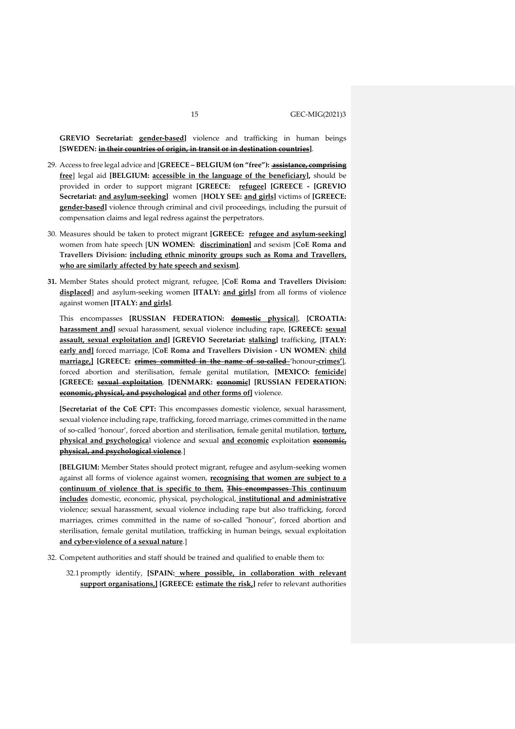**GREVIO Secretariat: gender-based]** violence and trafficking in human beings **[SWEDEN: in their countries of origin, in transit or in destination countries]**.

- 29. Access to free legal advice and [**GREECE – BELGIUM (on "free"): assistance, comprising free**] legal aid **[BELGIUM: accessible in the language of the beneficiary],** should be provided in order to support migrant **[GREECE: refugee] [GREECE - [GREVIO Secretariat: and asylum-seeking]** women [**HOLY SEE: and girls]** victims of **[GREECE: gender-based]** violence through criminal and civil proceedings, including the pursuit of compensation claims and legal redress against the perpetrators.
- 30. Measures should be taken to protect migrant **[GREECE: refugee and asylum-seeking]** women from hate speech [**UN WOMEN: discrimination]** and sexism [**CoE Roma and Travellers Division: including ethnic minority groups such as Roma and Travellers, who are similarly affected by hate speech and sexism]**.
- **31.** Member States should protect migrant, refugee, [**CoE Roma and Travellers Division: displaced**] and asylum-seeking women **[ITALY: and girls]** from all forms of violence against women **[ITALY: and girls]**.

This encompasses **[RUSSIAN FEDERATION: domestic physical**], **[CROATIA: harassment and]** sexual harassment, sexual violence including rape, **[GREECE: sexual assault, sexual exploitation and] [GREVIO Secretariat: stalking]** trafficking, [**ITALY: early and]** forced marriage, [**CoE Roma and Travellers Division - UN WOMEN**: **child marriage,] [GREECE: crimes committed in the name of so-called** 'honour**-crimes'**], forced abortion and sterilisation, female genital mutilation, **[MEXICO: femicide**] **[GREECE: sexual exploitation**, **[DENMARK: economic] [RUSSIAN FEDERATION: economic, physical, and psychological and other forms of]** violence.

**[Secretariat of the CoE CPT:** This encompasses domestic violence, sexual harassment, sexual violence including rape, trafficking, forced marriage, crimes committed in the name of so-called 'honour', forced abortion and sterilisation, female genital mutilation, **torture, physical and psychologica**l violence and sexual **and economic** exploitation **economic, physical, and psychological violence**.]

**[BELGIUM:** Member States should protect migrant, refugee and asylum-seeking women against all forms of violence against women, **recognising that women are subject to a continuum of violence that is specific to them. This encompasses This continuum includes** domestic, economic, physical, psychological, **institutional and administrative** violence; sexual harassment, sexual violence including rape but also trafficking, forced marriages, crimes committed in the name of so-called "honour", forced abortion and sterilisation, female genital mutilation, trafficking in human beings, sexual exploitation **and cyber-violence of a sexual nature**.]

- 32. Competent authorities and staff should be trained and qualified to enable them to:
	- 32.1 promptly identify, **[SPAIN: where possible, in collaboration with relevant support organisations,] [GREECE: estimate the risk,]** refer to relevant authorities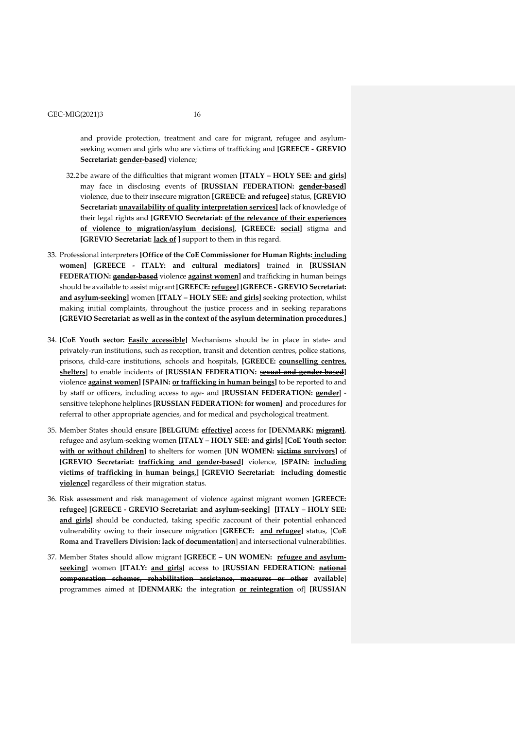and provide protection, treatment and care for migrant, refugee and asylumseeking women and girls who are victims of trafficking and **[GREECE - GREVIO Secretariat: gender-based]** violence;

- 32.2 be aware of the difficulties that migrant women **[ITALY – HOLY SEE: and girls]** may face in disclosing events of **[RUSSIAN FEDERATION: gender-based]** violence, due to their insecure migration **[GREECE: and refugee]** status, **[GREVIO Secretariat: unavailability of quality interpretation services]** lack of knowledge of their legal rights and **[GREVIO Secretariat: of the relevance of their experiences of violence to migration/asylum decisions]**, **[GREECE: social]** stigma and **[GREVIO Secretariat: lack of ]** support to them in this regard.
- 33. Professional interpreters **[Office of the CoE Commissioner for Human Rights: including women] [GREECE - ITALY: and cultural mediators]** trained in **[RUSSIAN FEDERATION: gender-based** violence **against women]** and trafficking in human beings should be available to assist migrant **[GREECE: refugee] [GREECE - GREVIO Secretariat: and asylum-seeking]** women **[ITALY – HOLY SEE: and girls]** seeking protection, whilst making initial complaints, throughout the justice process and in seeking reparations **[GREVIO Secretariat: as well as in the context of the asylum determination procedures.]**
- 34. **[CoE Youth sector: Easily accessible]** Mechanisms should be in place in state- and privately-run institutions, such as reception, transit and detention centres, police stations, prisons, child-care institutions, schools and hospitals, **[GREECE: counselling centres, shelters**] to enable incidents of **[RUSSIAN FEDERATION: sexual and gender-based]** violence **against women] [SPAIN: or trafficking in human beings]** to be reported to and by staff or officers, including access to age- and **[RUSSIAN FEDERATION: gender**] sensitive telephone helplines **[RUSSIAN FEDERATION: for women]** and procedures for referral to other appropriate agencies, and for medical and psychological treatment.
- 35. Member States should ensure **[BELGIUM: effective]** access for **[DENMARK: migrant]**, refugee and asylum-seeking women **[ITALY – HOLY SEE: and girls] [CoE Youth sector: with or without children]** to shelters for women [**UN WOMEN: victims survivors]** of **[GREVIO Secretariat: trafficking and gender-based]** violence, **[SPAIN: including victims of trafficking in human beings,] [GREVIO Secretariat: including domestic violence]** regardless of their migration status.
- 36. Risk assessment and risk management of violence against migrant women **[GREECE: refugee] [GREECE - GREVIO Secretariat: and asylum-seeking] [ITALY – HOLY SEE: and girls]** should be conducted, taking specific zaccount of their potential enhanced vulnerability owing to their insecure migration [**GREECE: and refugee]** status, [**CoE Roma and Travellers Division: lack of documentation**] and intersectional vulnerabilities.
- 37. Member States should allow migrant **[GREECE – UN WOMEN: refugee and asylumseeking]** women **[ITALY: and girls]** access to **[RUSSIAN FEDERATION: national compensation schemes, rehabilitation assistance, measures or other available**] programmes aimed at **[DENMARK:** the integration **or reintegration** of] **[RUSSIAN**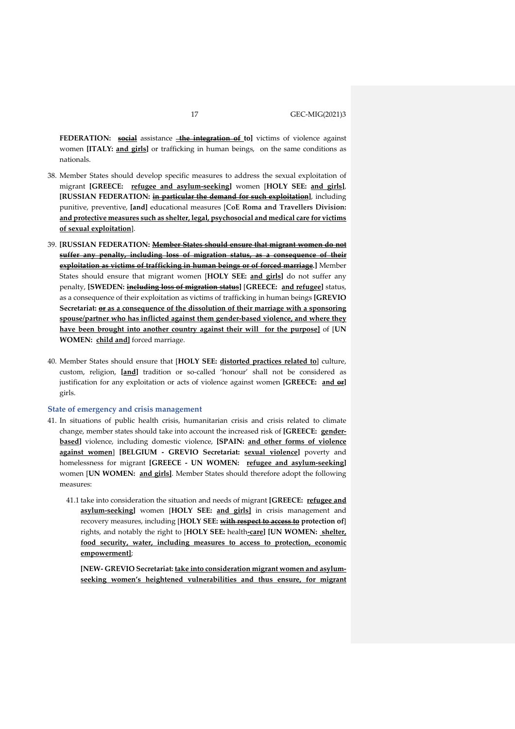**FEDERATION: social** assistance **the integration of to]** victims of violence against women **[ITALY: and girls]** or trafficking in human beings, on the same conditions as nationals.

- 38. Member States should develop specific measures to address the sexual exploitation of migrant **[GREECE: refugee and asylum-seeking]** women [**HOLY SEE: and girls]**, **[RUSSIAN FEDERATION: in particular the demand for such exploitation]**, including punitive, preventive, **[and]** educational measures [**CoE Roma and Travellers Division: and protective measures such as shelter, legal, psychosocial and medical care for victims of sexual exploitation**].
- 39. **[RUSSIAN FEDERATION: Member States should ensure that migrant women do not suffer any penalty, including loss of migration status, as a consequence of their exploitation as victims of trafficking in human beings or of forced marriage.]** Member States should ensure that migrant women [**HOLY SEE: and girls]** do not suffer any penalty, **[SWEDEN: including loss of migration status]** [**GREECE: and refugee]** status, as a consequence of their exploitation as victims of trafficking in human beings **[GREVIO Secretariat: or as a consequence of the dissolution of their marriage with a sponsoring spouse/partner who has inflicted against them gender-based violence, and where they have been brought into another country against their will for the purpose]** of [**UN WOMEN: child and]** forced marriage.
- 40. Member States should ensure that [**HOLY SEE: distorted practices related to**] culture, custom, religion, **[and]** tradition or so-called 'honour' shall not be considered as justification for any exploitation or acts of violence against women **[GREECE: and or]** girls.

#### **State of emergency and crisis management**

- 41. In situations of public health crisis, humanitarian crisis and crisis related to climate change, member states should take into account the increased risk of **[GREECE: genderbased]** violence, including domestic violence, **[SPAIN: and other forms of violence against women**] **[BELGIUM - GREVIO Secretariat: sexual violence]** poverty and homelessness for migrant **[GREECE - UN WOMEN: refugee and asylum-seeking]** women [**UN WOMEN: and girls]**. Member States should therefore adopt the following measures:
	- 41.1 take into consideration the situation and needs of migrant **[GREECE: refugee and asylum-seeking]** women [**HOLY SEE: and girls]** in crisis management and recovery measures, including [**HOLY SEE: with respect to access to protection of**] rights, and notably the right to [**HOLY SEE:** health**-care] [UN WOMEN: shelter, food security, water, including measures to access to protection, economic empowerment]**;

**[NEW- GREVIO Secretariat: take into consideration migrant women and asylumseeking women's heightened vulnerabilities and thus ensure, for migrant**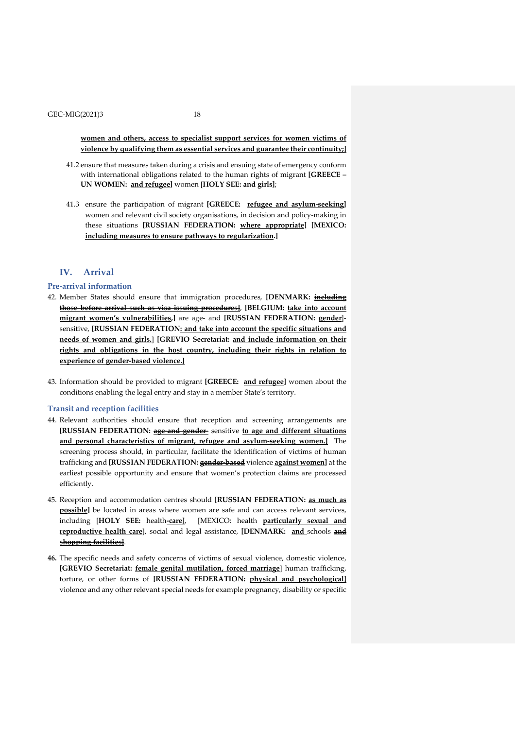**women and others, access to specialist support services for women victims of violence by qualifying them as essential services and guarantee their continuity;]**

- 41.2 ensure that measures taken during a crisis and ensuing state of emergency conform with international obligations related to the human rights of migrant **[GREECE – UN WOMEN: and refugee]** women [**HOLY SEE: and girls]**;
- 41.3 ensure the participation of migrant **[GREECE: refugee and asylum-seeking]** women and relevant civil society organisations, in decision and policy-making in these situations **[RUSSIAN FEDERATION: where appropriate] [MEXICO: including measures to ensure pathways to regularization.]**

# **IV. Arrival**

### **Pre-arrival information**

- 42. Member States should ensure that immigration procedures, **[DENMARK: including those before arrival such as visa issuing procedures]**, **[BELGIUM: take into account migrant women's vulnerabilities,]** are age- and **[RUSSIAN FEDERATION: gender**] sensitive, **[RUSSIAN FEDERATION: and take into account the specific situations and needs of women and girls.**] **[GREVIO Secretariat: and include information on their rights and obligations in the host country, including their rights in relation to experience of gender-based violence.]**
- 43. Information should be provided to migrant **[GREECE: and refugee]** women about the conditions enabling the legal entry and stay in a member State's territory.

#### **Transit and reception facilities**

- 44. Relevant authorities should ensure that reception and screening arrangements are **[RUSSIAN FEDERATION: age-and gender-** sensitive **to age and different situations and personal characteristics of migrant, refugee and asylum-seeking women.]** The screening process should, in particular, facilitate the identification of victims of human trafficking and **[RUSSIAN FEDERATION: gender-based** violence **against women]** at the earliest possible opportunity and ensure that women's protection claims are processed efficiently.
- 45. Reception and accommodation centres should **[RUSSIAN FEDERATION: as much as possible]** be located in areas where women are safe and can access relevant services, including [**HOLY SEE:** health**-care]**, [MEXICO: health **particularly sexual and reproductive health care**], social and legal assistance, **[DENMARK: and** schools **and shopping facilities]**.
- **46.** The specific needs and safety concerns of victims of sexual violence, domestic violence, **[GREVIO Secretariat: female genital mutilation, forced marriage**] human trafficking, torture, or other forms of **[RUSSIAN FEDERATION: physical and psychological]** violence and any other relevant special needs for example pregnancy, disability or specific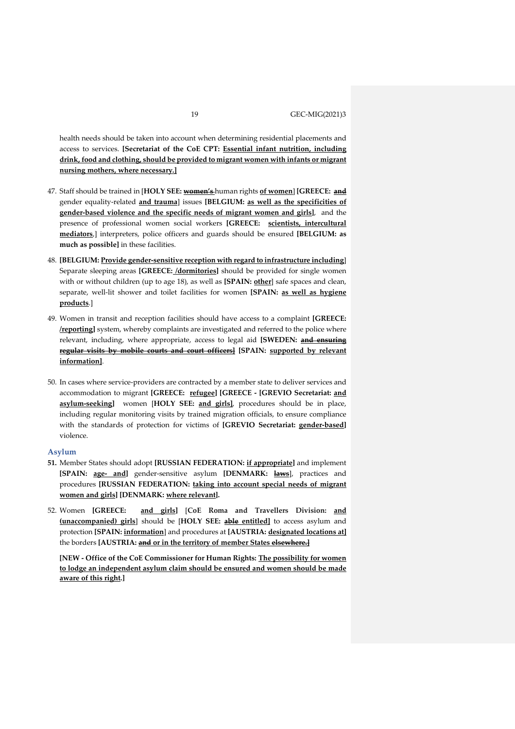health needs should be taken into account when determining residential placements and access to services. **[Secretariat of the CoE CPT: Essential infant nutrition, including drink, food and clothing, should be provided to migrant women with infants or migrant nursing mothers, where necessary.]**

- 47. Staff should be trained in [**HOLY SEE: women's** human rights **of women**] **[GREECE: and** gender equality-related **and trauma**] issues **[BELGIUM: as well as the specificities of gender-based violence and the specific needs of migrant women and girls]**, and the presence of professional women social workers **[GREECE: scientists, intercultural mediators**,] interpreters, police officers and guards should be ensured **[BELGIUM: as much as possible]** in these facilities.
- 48. **[BELGIUM: Provide gender-sensitive reception with regard to infrastructure including**] Separate sleeping areas **[GREECE: /dormitories]** should be provided for single women with or without children (up to age 18), as well as **[SPAIN: other**] safe spaces and clean, separate, well-lit shower and toilet facilities for women **[SPAIN: as well as hygiene products**.]
- 49. Women in transit and reception facilities should have access to a complaint **[GREECE: /reporting**] system, whereby complaints are investigated and referred to the police where relevant, including, where appropriate, access to legal aid **[SWEDEN: and ensuring regular visits by mobile courts and court officers] [SPAIN: supported by relevant information]**.
- 50. In cases where service-providers are contracted by a member state to deliver services and accommodation to migrant **[GREECE: refugee] [GREECE - [GREVIO Secretariat: and asylum-seeking]** women [**HOLY SEE: and girls]**, procedures should be in place, including regular monitoring visits by trained migration officials, to ensure compliance with the standards of protection for victims of **[GREVIO Secretariat: gender-based]** violence.

### **Asylum**

- **51.** Member States should adopt **[RUSSIAN FEDERATION: if appropriate]** and implement **[SPAIN: age- and]** gender-sensitive asylum **[DENMARK: laws**], practices and procedures **[RUSSIAN FEDERATION: taking into account special needs of migrant women and girls] [DENMARK: where relevant].**
- 52. Women **[GREECE: and girls]** [**CoE Roma and Travellers Division: and (unaccompanied) girls**] should be [**HOLY SEE: able entitled]** to access asylum and protection **[SPAIN: information**] and procedures at **[AUSTRIA: designated locations at]** the borders **[AUSTRIA: and or in the territory of member States elsewhere.]**

**[NEW - Office of the CoE Commissioner for Human Rights: The possibility for women to lodge an independent asylum claim should be ensured and women should be made aware of this right.]**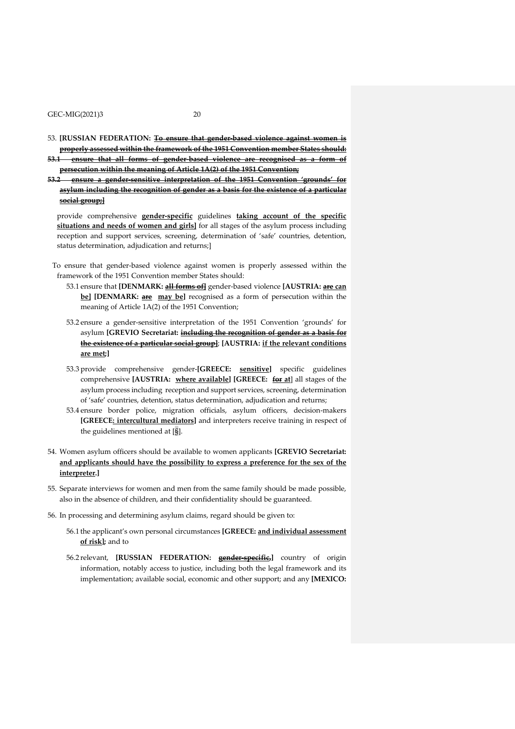- 53. **[RUSSIAN FEDERATION: To ensure that gender-based violence against women is properly assessed within the framework of the 1951 Convention member States should: 53.1 ensure that all forms of gender-based violence are recognised as a form of**
- **53.2 ensure a gender-sensitive interpretation of the 1951 Convention 'grounds' for asylum including the recognition of gender as a basis for the existence of a particular social group;]**

**persecution within the meaning of Article 1A(2) of the 1951 Convention;**

provide comprehensive **gender-specific** guidelines **taking account of the specific situations and needs of women and girls]** for all stages of the asylum process including reception and support services, screening, determination of 'safe' countries, detention, status determination, adjudication and returns;]

- To ensure that gender-based violence against women is properly assessed within the framework of the 1951 Convention member States should:
	- 53.1 ensure that **[DENMARK: all forms of]** gender-based violence **[AUSTRIA: are can be] [DENMARK: are may be]** recognised as a form of persecution within the meaning of Article 1A(2) of the 1951 Convention;
	- 53.2 ensure a gender-sensitive interpretation of the 1951 Convention 'grounds' for asylum **[GREVIO Secretariat: including the recognition of gender as a basis for the existence of a particular social group]**; **[AUSTRIA: if the relevant conditions are met;]**
	- 53.3 provide comprehensive gender-**[GREECE: sensitive]** specific guidelines comprehensive **[AUSTRIA: where available] [GREECE: for at**] all stages of the asylum process including reception and support services, screening, determination of 'safe' countries, detention, status determination, adjudication and returns;
	- 53.4 ensure border police, migration officials, asylum officers, decision-makers **[GREECE: intercultural mediators]** and interpreters receive training in respect of the guidelines mentioned at [§].
- 54. Women asylum officers should be available to women applicants **[GREVIO Secretariat: and applicants should have the possibility to express a preference for the sex of the interpreter.]**
- 55. Separate interviews for women and men from the same family should be made possible, also in the absence of children, and their confidentiality should be guaranteed.
- 56. In processing and determining asylum claims, regard should be given to:
	- 56.1 the applicant's own personal circumstances **[GREECE: and individual assessment of risk];** and to
	- 56.2 relevant, **[RUSSIAN FEDERATION: gender-specific,]** country of origin information, notably access to justice, including both the legal framework and its implementation; available social, economic and other support; and any **[MEXICO:**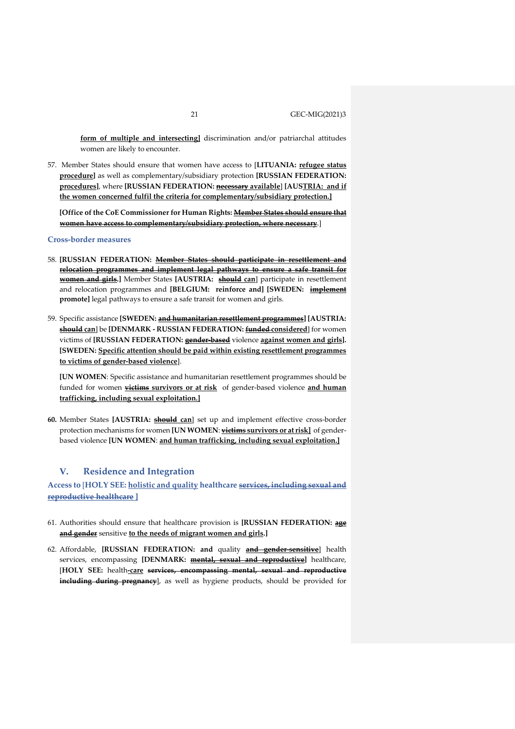**form of multiple and intersecting]** discrimination and/or patriarchal attitudes women are likely to encounter.

57. Member States should ensure that women have access to [**LITUANIA: refugee status procedure]** as well as complementary/subsidiary protection **[RUSSIAN FEDERATION: procedures]**, where **[RUSSIAN FEDERATION: necessary available**] **[AUSTRIA: and if the women concerned fulfil the criteria for complementary/subsidiary protection.]**

**[Office of the CoE Commissioner for Human Rights: Member States should ensure that women have access to complementary/subsidiary protection, where necessary**.]

### **Cross-border measures**

- 58. **[RUSSIAN FEDERATION: Member States should participate in resettlement and relocation programmes and implement legal pathways to ensure a safe transit for women and girls.**] Member States [AUSTRIA: **should can**] participate in resettlement and relocation programmes and **[BELGIUM: reinforce and] [SWEDEN: implement promote]** legal pathways to ensure a safe transit for women and girls.
- 59. Specific assistance **[SWEDEN: and humanitarian resettlement programmes] [AUSTRIA: should can**] be **[DENMARK - RUSSIAN FEDERATION: funded considered**] for women victims of **[RUSSIAN FEDERATION: gender-based** violence **against women and girls]. [SWEDEN: Specific attention should be paid within existing resettlement programmes to victims of gender-based violence**].

**[UN WOMEN**: Specific assistance and humanitarian resettlement programmes should be funded for women **victims survivors or at risk** of gender-based violence **and human trafficking, including sexual exploitation.]**

**60.** Member States **[AUSTRIA: should can**] set up and implement effective cross-border protection mechanisms for women **[UN WOMEN**: **victims survivors or atrisk]** of genderbased violence **[UN WOMEN**: **and human trafficking, including sexual exploitation.]**

# **V. Residence and Integration**

**Access to** [**HOLY SEE: holistic and quality healthcare services, including sexual and reproductive healthcare ]**

- 61. Authorities should ensure that healthcare provision is **[RUSSIAN FEDERATION: age and gender** sensitive **to the needs of migrant women and girls.]**
- 62. Affordable, **[RUSSIAN FEDERATION: and** quality **and gender-sensitive**] health services, encompassing **[DENMARK: mental, sexual and reproductive]** healthcare, [**HOLY SEE:** health**-care services, encompassing mental, sexual and reproductive including during pregnancy**], as well as hygiene products, should be provided for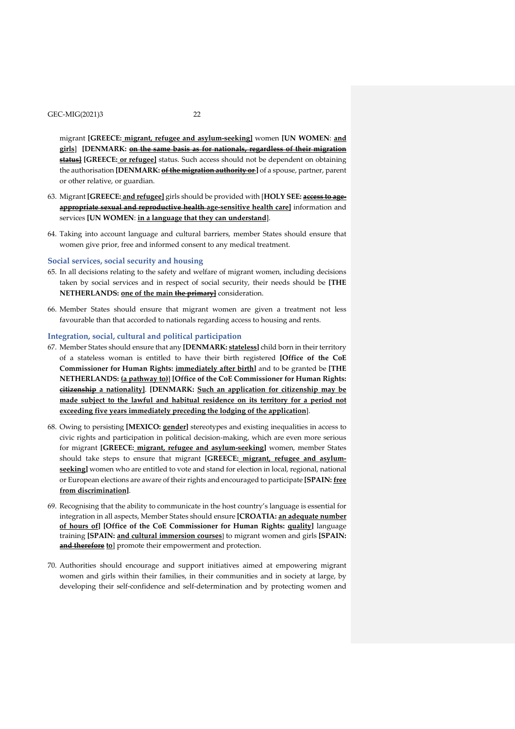migrant **[GREECE: migrant, refugee and asylum-seeking]** women **[UN WOMEN**: **and girls**] **[DENMARK: on the same basis as for nationals, regardless of their migration status] [GREECE: or refugee]** status. Such access should not be dependent on obtaining the authorisation **[DENMARK: of the migration authority or**] of a spouse, partner, parent or other relative, or guardian.

- 63. Migrant **[GREECE: and refugee]** girls should be provided with [**HOLY SEE: access to ageappropriate sexual and reproductive health age-sensitive health care]** information and services **[UN WOMEN**: **in a language that they can understand**].
- 64. Taking into account language and cultural barriers, member States should ensure that women give prior, free and informed consent to any medical treatment.

#### **Social services, social security and housing**

- 65. In all decisions relating to the safety and welfare of migrant women, including decisions taken by social services and in respect of social security, their needs should be **[THE NETHERLANDS: one of the main the primary]** consideration.
- 66. Member States should ensure that migrant women are given a treatment not less favourable than that accorded to nationals regarding access to housing and rents.

### **Integration, social, cultural and political participation**

- 67. Member States should ensure that any **[DENMARK: stateless]** child born in their territory of a stateless woman is entitled to have their birth registered **[Office of the CoE Commissioner for Human Rights: immediately after birth]** and to be granted be **[THE NETHERLANDS: (a pathway to)**] **[Office of the CoE Commissioner for Human Rights: citizenship a nationality]**. **[DENMARK: Such an application for citizenship may be made subject to the lawful and habitual residence on its territory for a period not exceeding five years immediately preceding the lodging of the application**].
- 68. Owing to persisting **[MEXICO: gender]** stereotypes and existing inequalities in access to civic rights and participation in political decision-making, which are even more serious for migrant **[GREECE: migrant, refugee and asylum-seeking]** women, member States should take steps to ensure that migrant **[GREECE: migrant, refugee and asylum**seeking] women who are entitled to vote and stand for election in local, regional, national or European elections are aware of theirrights and encouraged to participate **[SPAIN: free from discrimination]**.
- 69. Recognising that the ability to communicate in the host country's language is essential for integration in all aspects, Member States should ensure **[CROATIA: an adequate number of hours of] [Office of the CoE Commissioner for Human Rights: quality]** language training **[SPAIN: and cultural immersion courses**] to migrant women and girls **[SPAIN: and therefore to**] promote their empowerment and protection.
- 70. Authorities should encourage and support initiatives aimed at empowering migrant women and girls within their families, in their communities and in society at large, by developing their self-confidence and self-determination and by protecting women and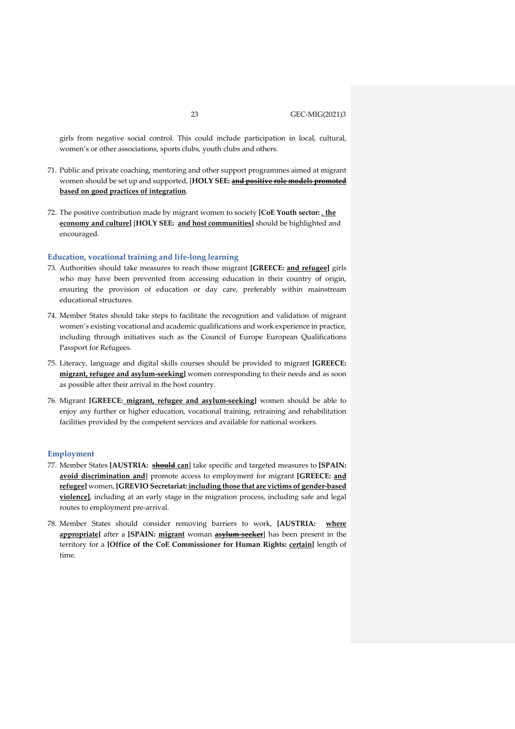girls from negative social control. This could include participation in local, cultural, women's or other associations, sports clubs, youth clubs and others.

- 71. Public and private coaching, mentoring and other support programmes aimed at migrant women should be set up and supported, [**HOLY SEE: and positive role models promoted based on good practices of integration**.
- 72. The positive contribution made by migrant women to society **[CoE Youth sector:** , **the economy and culture]** [**HOLY SEE: and host communities]** should be highlighted and encouraged.

#### **Education, vocational training and life-long learning**

- 73. Authorities should take measures to reach those migrant **[GREECE: and refugee]** girls who may have been prevented from accessing education in their country of origin, ensuring the provision of education or day care, preferably within mainstream educational structures.
- 74. Member States should take steps to facilitate the recognition and validation of migrant women's existing vocational and academic qualifications and work experience in practice, including through initiatives such as the Council of Europe European Qualifications Passport for Refugees.
- 75. Literacy, language and digital skills courses should be provided to migrant **[GREECE: migrant, refugee and asylum-seeking]** women corresponding to their needs and as soon as possible after their arrival in the host country.
- 76. Migrant **[GREECE: migrant, refugee and asylum-seeking]** women should be able to enjoy any further or higher education, vocational training, retraining and rehabilitation facilities provided by the competent services and available for national workers.

#### **Employment**

- 77. Member States **[AUSTRIA: should can**] take specific and targeted measures to **[SPAIN: avoid discrimination and**] promote access to employment for migrant **[GREECE: and refugee]** women, **[GREVIO Secretariat: including those that are victims of gender-based violence]**, including at an early stage in the migration process, including safe and legal routes to employment pre-arrival.
- 78. Member States should consider removing barriers to work, **[AUSTRIA: where appropriate]** after a **[SPAIN: migrant** woman **asylum-seeker**] has been present in the territory for a **[Office of the CoE Commissioner for Human Rights: certain]** length of time.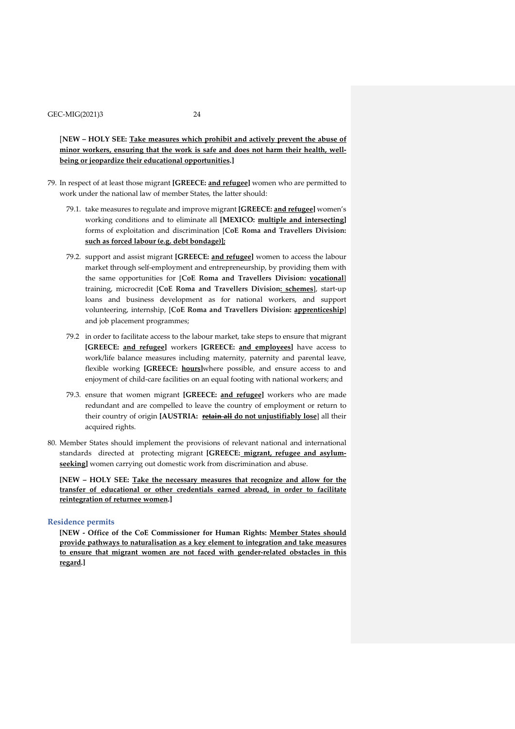[**NEW – HOLY SEE: Take measures which prohibit and actively prevent the abuse of minor workers, ensuring that the work is safe and does not harm their health, wellbeing or jeopardize their educational opportunities.]**

- 79. In respect of at least those migrant **[GREECE: and refugee]** women who are permitted to work under the national law of member States, the latter should:
	- 79.1. take measures to regulate and improve migrant **[GREECE: and refugee]** women's working conditions and to eliminate all **[MEXICO: multiple and intersecting]** forms of exploitation and discrimination [**CoE Roma and Travellers Division: such as forced labour (e.g. debt bondage)];**
	- 79.2. support and assist migrant **[GREECE: and refugee]** women to access the labour market through self-employment and entrepreneurship, by providing them with the same opportunities for [**CoE Roma and Travellers Division: vocational**] training, microcredit [**CoE Roma and Travellers Division: schemes**], start-up loans and business development as for national workers, and support volunteering, internship, [**CoE Roma and Travellers Division: apprenticeship**] and job placement programmes;
	- 79.2 in order to facilitate access to the labour market, take steps to ensure that migrant **[GREECE: and refugee]** workers **[GREECE: and employees]** have access to work/life balance measures including maternity, paternity and parental leave, flexible working **[GREECE: hours]**where possible, and ensure access to and enjoyment of child-care facilities on an equal footing with national workers; and
	- 79.3. ensure that women migrant **[GREECE: and refugee]** workers who are made redundant and are compelled to leave the country of employment or return to their country of origin **[AUSTRIA: retain all do not unjustifiably lose**] all their acquired rights.
- 80. Member States should implement the provisions of relevant national and international standards directed at protecting migrant **[GREECE: migrant, refugee and asylumseeking]** women carrying out domestic work from discrimination and abuse.

**[NEW – HOLY SEE: Take the necessary measures that recognize and allow for the transfer of educational or other credentials earned abroad, in order to facilitate reintegration of returnee women.]**

#### **Residence permits**

**[NEW - Office of the CoE Commissioner for Human Rights: Member States should provide pathways to naturalisation as a key element to integration and take measures to ensure that migrant women are not faced with gender-related obstacles in this regard.]**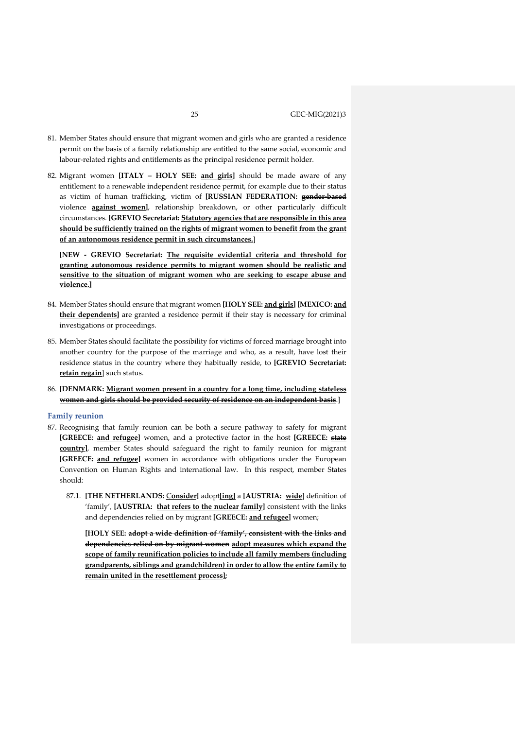- 81. Member States should ensure that migrant women and girls who are granted a residence permit on the basis of a family relationship are entitled to the same social, economic and labour-related rights and entitlements as the principal residence permit holder.
- 82. Migrant women **[ITALY – HOLY SEE: and girls]** should be made aware of any entitlement to a renewable independent residence permit, for example due to their status as victim of human trafficking, victim of **[RUSSIAN FEDERATION: gender-based** violence **against women]**, relationship breakdown, or other particularly difficult circumstances. **[GREVIO Secretariat: Statutory agencies that are responsible in this area should be sufficiently trained on the rights of migrant women to benefit from the grant of an autonomous residence permit in such circumstances.**]

**[NEW - GREVIO Secretariat: The requisite evidential criteria and threshold for granting autonomous residence permits to migrant women should be realistic and sensitive to the situation of migrant women who are seeking to escape abuse and violence.]**

- 84. Member States should ensure that migrant women **[HOLY SEE: and girls] [MEXICO: and their dependents]** are granted a residence permit if their stay is necessary for criminal investigations or proceedings.
- 85. Member States should facilitate the possibility for victims of forced marriage brought into another country for the purpose of the marriage and who, as a result, have lost their residence status in the country where they habitually reside, to **[GREVIO Secretariat: retain regain**] such status.
- 86. **[DENMARK: Migrant women present in a country for a long time, including stateless women and girls should be provided security of residence on an independent basis**.]

#### **Family reunion**

- 87. Recognising that family reunion can be both a secure pathway to safety for migrant **[GREECE: and refugee]** women, and a protective factor in the host **[GREECE: state country]**, member States should safeguard the right to family reunion for migrant **[GREECE: and refugee]** women in accordance with obligations under the European Convention on Human Rights and international law. In this respect, member States should:
	- 87.1. **[THE NETHERLANDS:** C**onsider]** adopt**[ing]** a **[AUSTRIA: wide**] definition of 'family', **[AUSTRIA: that refers to the nuclear family]** consistent with the links and dependencies relied on by migrant **[GREECE: and refugee]** women;

**[HOLY SEE: adopt a wide definition of 'family', consistent with the links and dependencies relied on by migrant women adopt measures which expand the scope of family reunification policies to include all family members (including grandparents, siblings and grandchildren) in order to allow the entire family to remain united in the resettlement process];**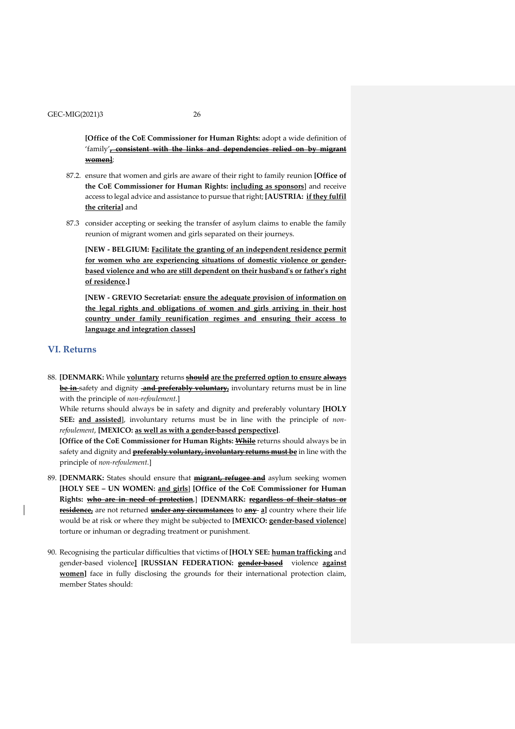**[Office of the CoE Commissioner for Human Rights:** adopt a wide definition of 'family'**, consistent with the links and dependencies relied on by migrant women]**;

- 87.2. ensure that women and girls are aware of their right to family reunion **[Office of the CoE Commissioner for Human Rights: including as sponsors**] and receive access to legal advice and assistance to pursue that right; [AUSTRIA: *if they fulfil* **the criteria]** and
- 87.3 consider accepting or seeking the transfer of asylum claims to enable the family reunion of migrant women and girls separated on their journeys.

**[NEW - BELGIUM: Facilitate the granting of an independent residence permit for women who are experiencing situations of domestic violence or genderbased violence and who are still dependent on their husband's or father's right of residence.]**

**[NEW - GREVIO Secretariat: ensure the adequate provision of information on the legal rights and obligations of women and girls arriving in their host country under family reunification regimes and ensuring their access to language and integration classes]**

### **VI. Returns**

88. **[DENMARK:** While **voluntary** returns **should are the preferred option to ensure always be in** safety and dignity **and preferably voluntary,** involuntary returns must be in line with the principle of *non-refoulement*.]

While returns should always be in safety and dignity and preferably voluntary **[HOLY SEE: and assisted**], involuntary returns must be in line with the principle of *nonrefoulement*, **[MEXICO: as well as with a gender-based perspective]**.

**[Office of the CoE Commissioner for Human Rights: While** returns should always be in safety and dignity and **preferably voluntary, involuntary returns must be** in line with the principle of *non-refoulement*.]

- 89. **[DENMARK:** States should ensure that **migrant, refugee and** asylum seeking women **[HOLY SEE – UN WOMEN: and girls**] **[Office of the CoE Commissioner for Human Rights: who are in need of protection**,] **[DENMARK: regardless of their status or residence,** are not returned **under any circumstances** to **any a]** country where their life would be at risk or where they might be subjected to **[MEXICO: gender-based violence**] torture or inhuman or degrading treatment or punishment.
- 90. Recognising the particular difficulties that victims of **[HOLY SEE: human trafficking** and gender-based violence**] [RUSSIAN FEDERATION: gender-based** violence **against women**] face in fully disclosing the grounds for their international protection claim, member States should: